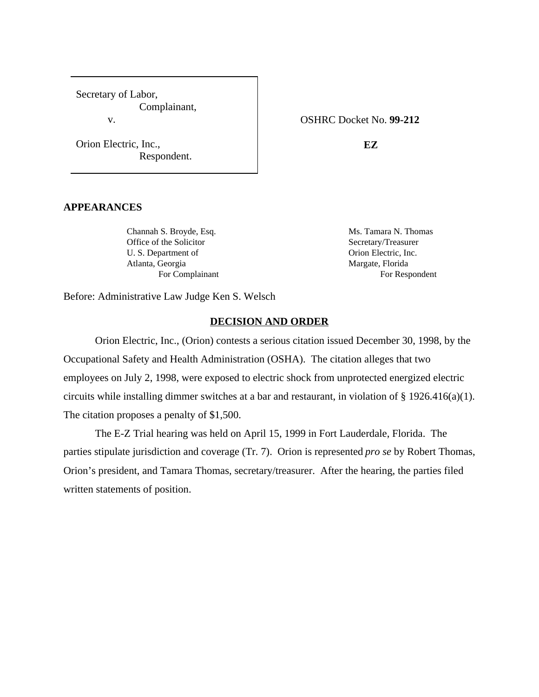Secretary of Labor, Complainant, v.

Orion Electric, Inc., Respondent. OSHRC Docket No. **99-212**

**EZ**

#### **APPEARANCES**

Channah S. Broyde, Esq. Ms. Tamara N. Thomas Office of the Solicitor Secretary/Treasurer U. S. Department of Orion Electric, Inc. Atlanta, Georgia **Margate, Florida** 

For Complainant For Respondent

Before: Administrative Law Judge Ken S. Welsch

#### **DECISION AND ORDER**

Orion Electric, Inc., (Orion) contests a serious citation issued December 30, 1998, by the Occupational Safety and Health Administration (OSHA). The citation alleges that two employees on July 2, 1998, were exposed to electric shock from unprotected energized electric circuits while installing dimmer switches at a bar and restaurant, in violation of § 1926.416(a)(1). The citation proposes a penalty of \$1,500.

The E-Z Trial hearing was held on April 15, 1999 in Fort Lauderdale, Florida. The parties stipulate jurisdiction and coverage (Tr. 7). Orion is represented *pro se* by Robert Thomas, Orion's president, and Tamara Thomas, secretary/treasurer. After the hearing, the parties filed written statements of position.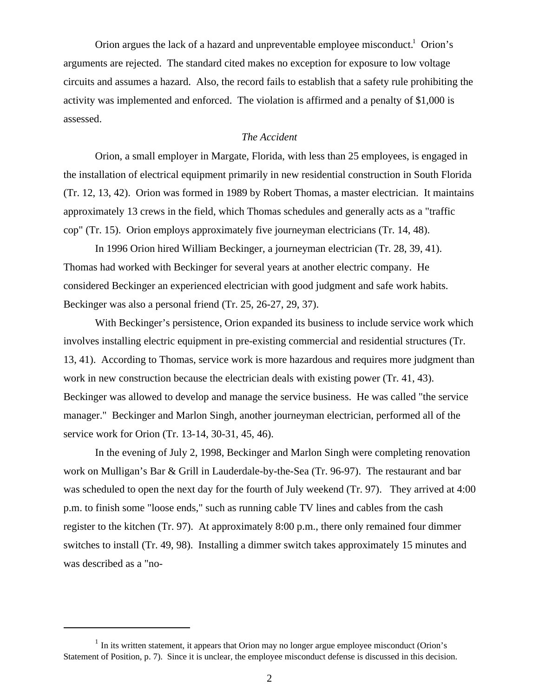Orion argues the lack of a hazard and unpreventable employee misconduct.<sup>1</sup> Orion's arguments are rejected. The standard cited makes no exception for exposure to low voltage circuits and assumes a hazard. Also, the record fails to establish that a safety rule prohibiting the activity was implemented and enforced. The violation is affirmed and a penalty of \$1,000 is assessed.

# *The Accident*

Orion, a small employer in Margate, Florida, with less than 25 employees, is engaged in the installation of electrical equipment primarily in new residential construction in South Florida (Tr. 12, 13, 42). Orion was formed in 1989 by Robert Thomas, a master electrician. It maintains approximately 13 crews in the field, which Thomas schedules and generally acts as a "traffic cop" (Tr. 15). Orion employs approximately five journeyman electricians (Tr. 14, 48).

In 1996 Orion hired William Beckinger, a journeyman electrician (Tr. 28, 39, 41). Thomas had worked with Beckinger for several years at another electric company. He considered Beckinger an experienced electrician with good judgment and safe work habits. Beckinger was also a personal friend (Tr. 25, 26-27, 29, 37).

With Beckinger's persistence, Orion expanded its business to include service work which involves installing electric equipment in pre-existing commercial and residential structures (Tr. 13, 41). According to Thomas, service work is more hazardous and requires more judgment than work in new construction because the electrician deals with existing power (Tr. 41, 43). Beckinger was allowed to develop and manage the service business. He was called "the service manager." Beckinger and Marlon Singh, another journeyman electrician, performed all of the service work for Orion (Tr. 13-14, 30-31, 45, 46).

In the evening of July 2, 1998, Beckinger and Marlon Singh were completing renovation work on Mulligan's Bar & Grill in Lauderdale-by-the-Sea (Tr. 96-97). The restaurant and bar was scheduled to open the next day for the fourth of July weekend (Tr. 97). They arrived at 4:00 p.m. to finish some "loose ends," such as running cable TV lines and cables from the cash register to the kitchen (Tr. 97). At approximately 8:00 p.m., there only remained four dimmer switches to install (Tr. 49, 98). Installing a dimmer switch takes approximately 15 minutes and was described as a "no-

 $<sup>1</sup>$  In its written statement, it appears that Orion may no longer argue employee misconduct (Orion's</sup> Statement of Position, p. 7). Since it is unclear, the employee misconduct defense is discussed in this decision.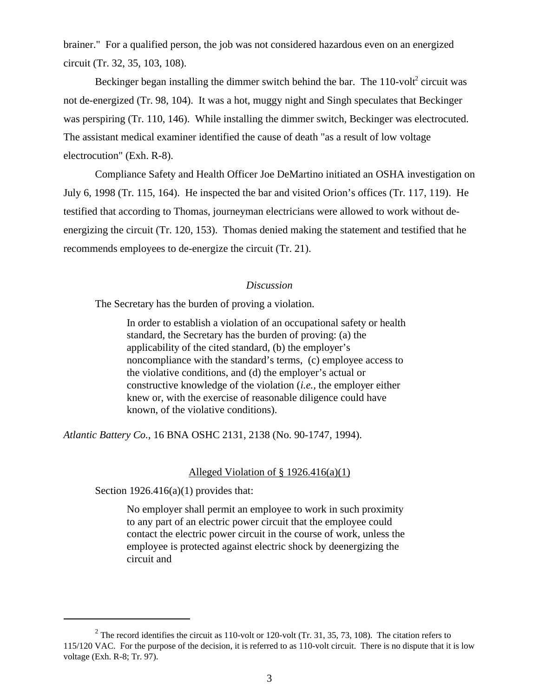brainer." For a qualified person, the job was not considered hazardous even on an energized circuit (Tr. 32, 35, 103, 108).

Beckinger began installing the dimmer switch behind the bar. The  $110$ -volt<sup>2</sup> circuit was not de-energized (Tr. 98, 104). It was a hot, muggy night and Singh speculates that Beckinger was perspiring (Tr. 110, 146). While installing the dimmer switch, Beckinger was electrocuted. The assistant medical examiner identified the cause of death "as a result of low voltage electrocution" (Exh. R-8).

Compliance Safety and Health Officer Joe DeMartino initiated an OSHA investigation on July 6, 1998 (Tr. 115, 164). He inspected the bar and visited Orion's offices (Tr. 117, 119). He testified that according to Thomas, journeyman electricians were allowed to work without deenergizing the circuit (Tr. 120, 153). Thomas denied making the statement and testified that he recommends employees to de-energize the circuit (Tr. 21).

### *Discussion*

The Secretary has the burden of proving a violation.

In order to establish a violation of an occupational safety or health standard, the Secretary has the burden of proving: (a) the applicability of the cited standard, (b) the employer's noncompliance with the standard's terms, (c) employee access to the violative conditions, and (d) the employer's actual or constructive knowledge of the violation (*i.e.,* the employer either knew or, with the exercise of reasonable diligence could have known, of the violative conditions).

*Atlantic Battery Co.,* 16 BNA OSHC 2131, 2138 (No. 90-1747, 1994).

#### Alleged Violation of § 1926.416(a)(1)

Section  $1926.416(a)(1)$  provides that:

No employer shall permit an employee to work in such proximity to any part of an electric power circuit that the employee could contact the electric power circuit in the course of work, unless the employee is protected against electric shock by deenergizing the circuit and

<sup>&</sup>lt;sup>2</sup> The record identifies the circuit as 110-volt or 120-volt (Tr. 31, 35, 73, 108). The citation refers to 115/120 VAC. For the purpose of the decision, it is referred to as 110-volt circuit. There is no dispute that it is low voltage (Exh. R-8; Tr. 97).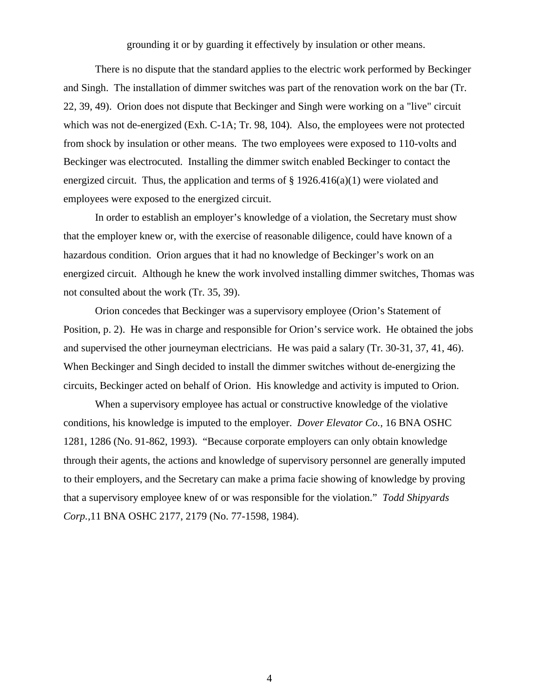grounding it or by guarding it effectively by insulation or other means.

There is no dispute that the standard applies to the electric work performed by Beckinger and Singh. The installation of dimmer switches was part of the renovation work on the bar (Tr. 22, 39, 49). Orion does not dispute that Beckinger and Singh were working on a "live" circuit which was not de-energized (Exh. C-1A; Tr. 98, 104). Also, the employees were not protected from shock by insulation or other means. The two employees were exposed to 110-volts and Beckinger was electrocuted. Installing the dimmer switch enabled Beckinger to contact the energized circuit. Thus, the application and terms of  $\S 1926.416(a)(1)$  were violated and employees were exposed to the energized circuit.

In order to establish an employer's knowledge of a violation, the Secretary must show that the employer knew or, with the exercise of reasonable diligence, could have known of a hazardous condition. Orion argues that it had no knowledge of Beckinger's work on an energized circuit. Although he knew the work involved installing dimmer switches, Thomas was not consulted about the work (Tr. 35, 39).

Orion concedes that Beckinger was a supervisory employee (Orion's Statement of Position, p. 2). He was in charge and responsible for Orion's service work. He obtained the jobs and supervised the other journeyman electricians. He was paid a salary (Tr. 30-31, 37, 41, 46). When Beckinger and Singh decided to install the dimmer switches without de-energizing the circuits, Beckinger acted on behalf of Orion. His knowledge and activity is imputed to Orion.

When a supervisory employee has actual or constructive knowledge of the violative conditions, his knowledge is imputed to the employer. *Dover Elevator Co.,* 16 BNA OSHC 1281, 1286 (No. 91-862, 1993). "Because corporate employers can only obtain knowledge through their agents, the actions and knowledge of supervisory personnel are generally imputed to their employers, and the Secretary can make a prima facie showing of knowledge by proving that a supervisory employee knew of or was responsible for the violation." *Todd Shipyards Corp.,*11 BNA OSHC 2177, 2179 (No. 77-1598, 1984).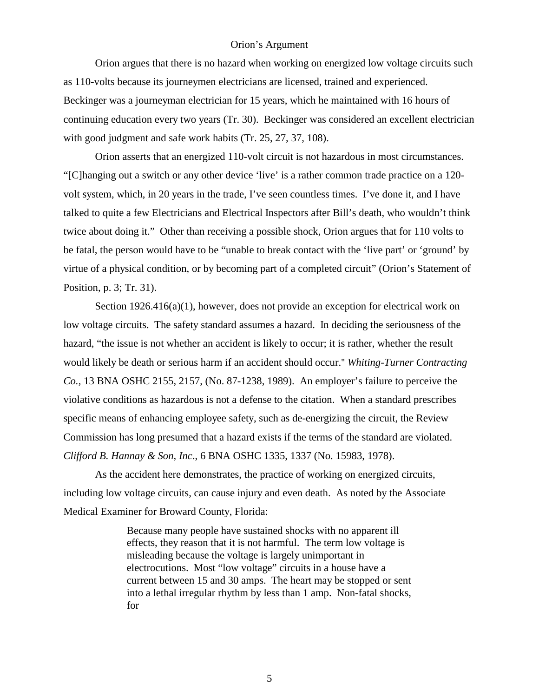### Orion's Argument

Orion argues that there is no hazard when working on energized low voltage circuits such as 110-volts because its journeymen electricians are licensed, trained and experienced. Beckinger was a journeyman electrician for 15 years, which he maintained with 16 hours of continuing education every two years (Tr. 30). Beckinger was considered an excellent electrician with good judgment and safe work habits (Tr. 25, 27, 37, 108).

Orion asserts that an energized 110-volt circuit is not hazardous in most circumstances. "[C]hanging out a switch or any other device 'live' is a rather common trade practice on a 120 volt system, which, in 20 years in the trade, I've seen countless times. I've done it, and I have talked to quite a few Electricians and Electrical Inspectors after Bill's death, who wouldn't think twice about doing it." Other than receiving a possible shock, Orion argues that for 110 volts to be fatal, the person would have to be "unable to break contact with the 'live part' or 'ground' by virtue of a physical condition, or by becoming part of a completed circuit" (Orion's Statement of Position, p. 3; Tr. 31).

Section 1926.416(a)(1), however, does not provide an exception for electrical work on low voltage circuits. The safety standard assumes a hazard. In deciding the seriousness of the hazard, "the issue is not whether an accident is likely to occur; it is rather, whether the result would likely be death or serious harm if an accident should occur.'' *Whiting-Turner Contracting Co.,* 13 BNA OSHC 2155, 2157, (No. 87-1238, 1989). An employer's failure to perceive the violative conditions as hazardous is not a defense to the citation. When a standard prescribes specific means of enhancing employee safety, such as de-energizing the circuit, the Review Commission has long presumed that a hazard exists if the terms of the standard are violated. *Clifford B. Hannay & Son, Inc*., 6 BNA OSHC 1335, 1337 (No. 15983, 1978).

As the accident here demonstrates, the practice of working on energized circuits, including low voltage circuits, can cause injury and even death. As noted by the Associate Medical Examiner for Broward County, Florida:

> Because many people have sustained shocks with no apparent ill effects, they reason that it is not harmful. The term low voltage is misleading because the voltage is largely unimportant in electrocutions. Most "low voltage" circuits in a house have a current between 15 and 30 amps. The heart may be stopped or sent into a lethal irregular rhythm by less than 1 amp. Non-fatal shocks, for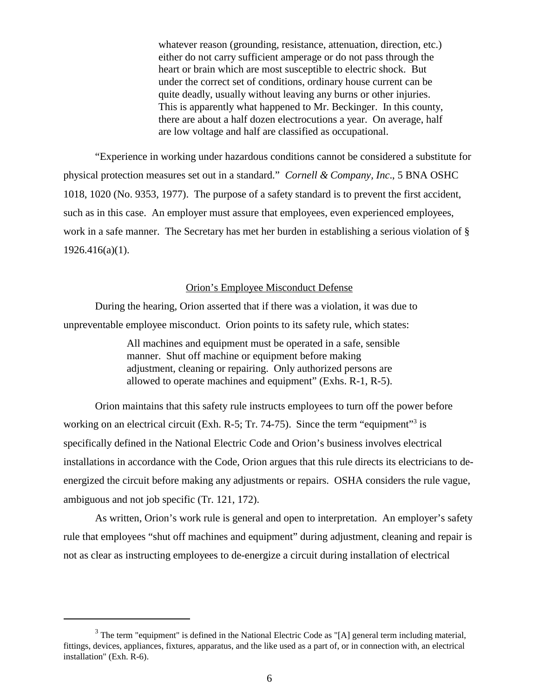whatever reason (grounding, resistance, attenuation, direction, etc.) either do not carry sufficient amperage or do not pass through the heart or brain which are most susceptible to electric shock. But under the correct set of conditions, ordinary house current can be quite deadly, usually without leaving any burns or other injuries. This is apparently what happened to Mr. Beckinger. In this county, there are about a half dozen electrocutions a year. On average, half are low voltage and half are classified as occupational.

"Experience in working under hazardous conditions cannot be considered a substitute for physical protection measures set out in a standard." *Cornell & Company, Inc*., 5 BNA OSHC 1018, 1020 (No. 9353, 1977). The purpose of a safety standard is to prevent the first accident, such as in this case. An employer must assure that employees, even experienced employees, work in a safe manner. The Secretary has met her burden in establishing a serious violation of § 1926.416(a)(1).

# Orion's Employee Misconduct Defense

During the hearing, Orion asserted that if there was a violation, it was due to unpreventable employee misconduct. Orion points to its safety rule, which states:

> All machines and equipment must be operated in a safe, sensible manner. Shut off machine or equipment before making adjustment, cleaning or repairing. Only authorized persons are allowed to operate machines and equipment" (Exhs. R-1, R-5).

Orion maintains that this safety rule instructs employees to turn off the power before working on an electrical circuit (Exh. R-5; Tr. 74-75). Since the term "equipment"<sup>3</sup> is specifically defined in the National Electric Code and Orion's business involves electrical installations in accordance with the Code, Orion argues that this rule directs its electricians to deenergized the circuit before making any adjustments or repairs. OSHA considers the rule vague, ambiguous and not job specific (Tr. 121, 172).

As written, Orion's work rule is general and open to interpretation. An employer's safety rule that employees "shut off machines and equipment" during adjustment, cleaning and repair is not as clear as instructing employees to de-energize a circuit during installation of electrical

 $3$  The term "equipment" is defined in the National Electric Code as "[A] general term including material, fittings, devices, appliances, fixtures, apparatus, and the like used as a part of, or in connection with, an electrical installation" (Exh. R-6).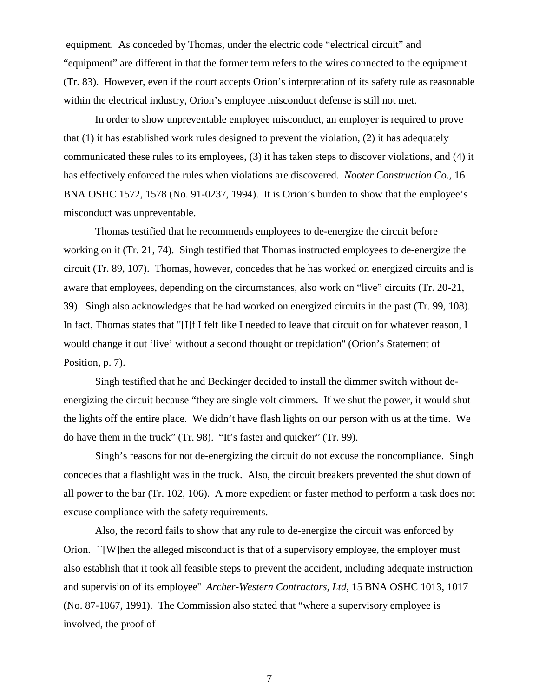equipment. As conceded by Thomas, under the electric code "electrical circuit" and "equipment" are different in that the former term refers to the wires connected to the equipment (Tr. 83). However, even if the court accepts Orion's interpretation of its safety rule as reasonable within the electrical industry, Orion's employee misconduct defense is still not met.

In order to show unpreventable employee misconduct, an employer is required to prove that (1) it has established work rules designed to prevent the violation, (2) it has adequately communicated these rules to its employees, (3) it has taken steps to discover violations, and (4) it has effectively enforced the rules when violations are discovered. *Nooter Construction Co.,* 16 BNA OSHC 1572, 1578 (No. 91-0237, 1994). It is Orion's burden to show that the employee's misconduct was unpreventable.

Thomas testified that he recommends employees to de-energize the circuit before working on it (Tr. 21, 74). Singh testified that Thomas instructed employees to de-energize the circuit (Tr. 89, 107). Thomas, however, concedes that he has worked on energized circuits and is aware that employees, depending on the circumstances, also work on "live" circuits (Tr. 20-21, 39). Singh also acknowledges that he had worked on energized circuits in the past (Tr. 99, 108). In fact, Thomas states that "[I]f I felt like I needed to leave that circuit on for whatever reason, I would change it out 'live' without a second thought or trepidation" (Orion's Statement of Position, p. 7).

Singh testified that he and Beckinger decided to install the dimmer switch without deenergizing the circuit because "they are single volt dimmers. If we shut the power, it would shut the lights off the entire place. We didn't have flash lights on our person with us at the time. We do have them in the truck" (Tr. 98). "It's faster and quicker" (Tr. 99).

 Singh's reasons for not de-energizing the circuit do not excuse the noncompliance. Singh concedes that a flashlight was in the truck. Also, the circuit breakers prevented the shut down of all power to the bar (Tr. 102, 106). A more expedient or faster method to perform a task does not excuse compliance with the safety requirements.

Also, the record fails to show that any rule to de-energize the circuit was enforced by Orion. ``[W]hen the alleged misconduct is that of a supervisory employee, the employer must also establish that it took all feasible steps to prevent the accident, including adequate instruction and supervision of its employee'' *Archer-Western Contractors, Ltd*, 15 BNA OSHC 1013, 1017 (No. 87-1067, 1991). The Commission also stated that "where a supervisory employee is involved, the proof of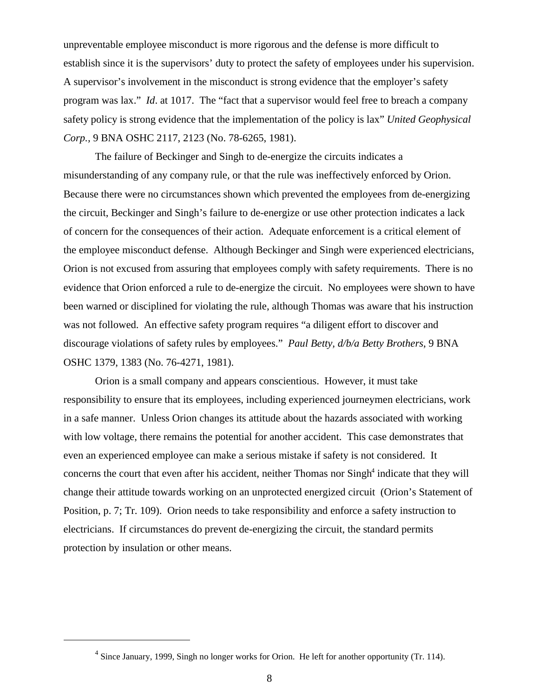unpreventable employee misconduct is more rigorous and the defense is more difficult to establish since it is the supervisors' duty to protect the safety of employees under his supervision. A supervisor's involvement in the misconduct is strong evidence that the employer's safety program was lax." *Id*. at 1017. The "fact that a supervisor would feel free to breach a company safety policy is strong evidence that the implementation of the policy is lax" *United Geophysical Corp.,* 9 BNA OSHC 2117, 2123 (No. 78-6265, 1981).

The failure of Beckinger and Singh to de-energize the circuits indicates a misunderstanding of any company rule, or that the rule was ineffectively enforced by Orion. Because there were no circumstances shown which prevented the employees from de-energizing the circuit, Beckinger and Singh's failure to de-energize or use other protection indicates a lack of concern for the consequences of their action. Adequate enforcement is a critical element of the employee misconduct defense. Although Beckinger and Singh were experienced electricians, Orion is not excused from assuring that employees comply with safety requirements. There is no evidence that Orion enforced a rule to de-energize the circuit. No employees were shown to have been warned or disciplined for violating the rule, although Thomas was aware that his instruction was not followed. An effective safety program requires "a diligent effort to discover and discourage violations of safety rules by employees." *Paul Betty, d/b/a Betty Brothers*, 9 BNA OSHC 1379, 1383 (No. 76-4271, 1981).

Orion is a small company and appears conscientious. However, it must take responsibility to ensure that its employees, including experienced journeymen electricians, work in a safe manner. Unless Orion changes its attitude about the hazards associated with working with low voltage, there remains the potential for another accident. This case demonstrates that even an experienced employee can make a serious mistake if safety is not considered. It concerns the court that even after his accident, neither Thomas nor Singh<sup>4</sup> indicate that they will change their attitude towards working on an unprotected energized circuit (Orion's Statement of Position, p. 7; Tr. 109). Orion needs to take responsibility and enforce a safety instruction to electricians. If circumstances do prevent de-energizing the circuit, the standard permits protection by insulation or other means.

 $<sup>4</sup>$  Since January, 1999, Singh no longer works for Orion. He left for another opportunity (Tr. 114).</sup>